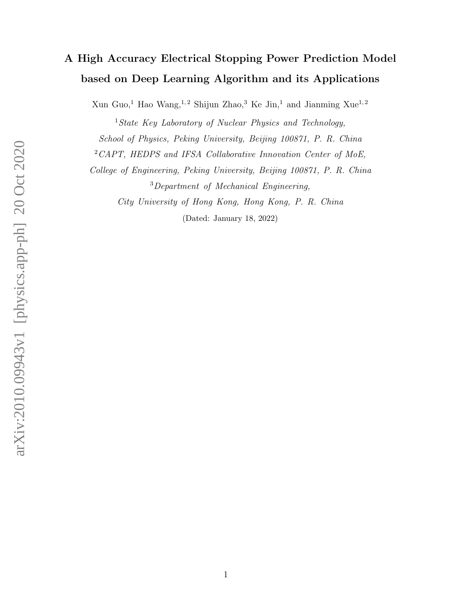## A High Accuracy Electrical Stopping Power Prediction Model based on Deep Learning Algorithm and its Applications

Xun Guo,<sup>1</sup> Hao Wang,<sup>1,2</sup> Shijun Zhao,<sup>3</sup> Ke Jin,<sup>1</sup> and Jianming Xue<sup>1,2</sup>

<sup>1</sup> State Key Laboratory of Nuclear Physics and Technology, School of Physics, Peking University, Beijing 100871, P. R. China

<sup>2</sup>CAPT, HEDPS and IFSA Collaborative Innovation Center of MoE,

College of Engineering, Peking University, Beijing 100871, P. R. China <sup>3</sup>Department of Mechanical Engineering,

City University of Hong Kong, Hong Kong, P. R. China

(Dated: January 18, 2022)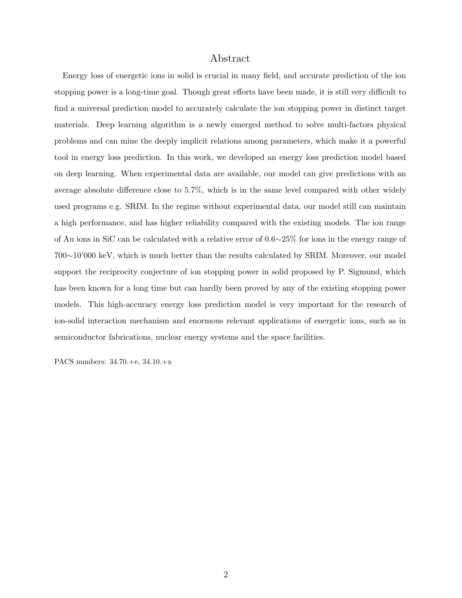## Abstract

Energy loss of energetic ions in solid is crucial in many field, and accurate prediction of the ion stopping power is a long-time goal. Though great efforts have been made, it is still very difficult to find a universal prediction model to accurately calculate the ion stopping power in distinct target materials. Deep learning algorithm is a newly emerged method to solve multi-factors physical problems and can mine the deeply implicit relations among parameters, which make it a powerful tool in energy loss prediction. In this work, we developed an energy loss prediction model based on deep learning. When experimental data are available, our model can give predictions with an average absolute difference close to 5.7%, which is in the same level compared with other widely used programs e.g. SRIM. In the regime without experimental data, our model still can maintain a high performance, and has higher reliability compared with the existing models. The ion range of Au ions in SiC can be calculated with a relative error of 0.6∼25% for ions in the energy range of 700∼10'000 keV, which is much better than the results calculated by SRIM. Moreover, our model support the reciprocity conjecture of ion stopping power in solid proposed by P. Sigmund, which has been known for a long time but can hardly been proved by any of the existing stopping power models. This high-accuracy energy loss prediction model is very important for the research of ion-solid interaction mechanism and enormous relevant applications of energetic ions, such as in semiconductor fabrications, nuclear energy systems and the space facilities.

PACS numbers: 34.70.+e, 34.10.+x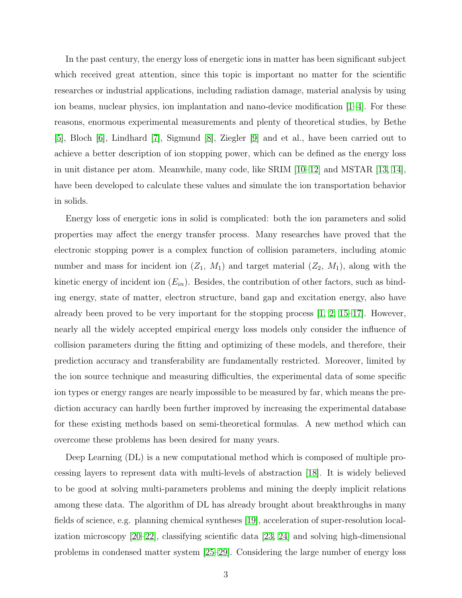In the past century, the energy loss of energetic ions in matter has been significant subject which received great attention, since this topic is important no matter for the scientific researches or industrial applications, including radiation damage, material analysis by using ion beams, nuclear physics, ion implantation and nano-device modification [\[1–](#page-10-0)[4\]](#page-10-1). For these reasons, enormous experimental measurements and plenty of theoretical studies, by Bethe [\[5\]](#page-10-2), Bloch [\[6\]](#page-10-3), Lindhard [\[7\]](#page-10-4), Sigmund [\[8\]](#page-10-5), Ziegler [\[9\]](#page-10-6) and et al., have been carried out to achieve a better description of ion stopping power, which can be defined as the energy loss in unit distance per atom. Meanwhile, many code, like SRIM [\[10–](#page-10-7)[12\]](#page-10-8) and MSTAR [\[13,](#page-10-9) [14\]](#page-10-10), have been developed to calculate these values and simulate the ion transportation behavior in solids.

Energy loss of energetic ions in solid is complicated: both the ion parameters and solid properties may affect the energy transfer process. Many researches have proved that the electronic stopping power is a complex function of collision parameters, including atomic number and mass for incident ion  $(Z_1, M_1)$  and target material  $(Z_2, M_1)$ , along with the kinetic energy of incident ion  $(E_{in})$ . Besides, the contribution of other factors, such as binding energy, state of matter, electron structure, band gap and excitation energy, also have already been proved to be very important for the stopping process  $[1, 2, 15-17]$  $[1, 2, 15-17]$  $[1, 2, 15-17]$  $[1, 2, 15-17]$ . However, nearly all the widely accepted empirical energy loss models only consider the influence of collision parameters during the fitting and optimizing of these models, and therefore, their prediction accuracy and transferability are fundamentally restricted. Moreover, limited by the ion source technique and measuring difficulties, the experimental data of some specific ion types or energy ranges are nearly impossible to be measured by far, which means the prediction accuracy can hardly been further improved by increasing the experimental database for these existing methods based on semi-theoretical formulas. A new method which can overcome these problems has been desired for many years.

Deep Learning (DL) is a new computational method which is composed of multiple processing layers to represent data with multi-levels of abstraction [\[18\]](#page-11-0). It is widely believed to be good at solving multi-parameters problems and mining the deeply implicit relations among these data. The algorithm of DL has already brought about breakthroughs in many fields of science, e.g. planning chemical syntheses [\[19\]](#page-11-1), acceleration of super-resolution localization microscopy [\[20–](#page-11-2)[22\]](#page-11-3), classifying scientific data [\[23,](#page-11-4) [24\]](#page-11-5) and solving high-dimensional problems in condensed matter system [\[25–](#page-11-6)[29\]](#page-11-7). Considering the large number of energy loss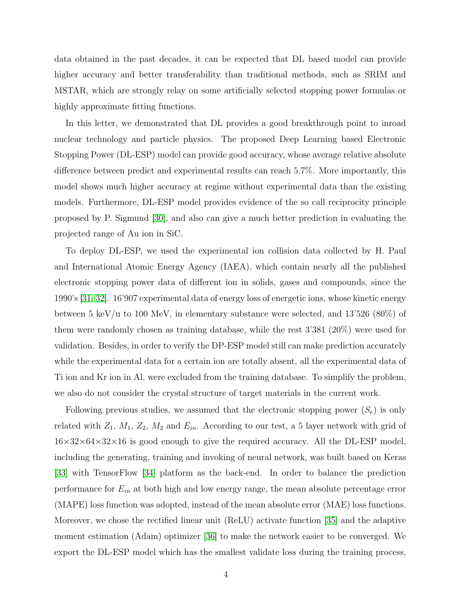data obtained in the past decades, it can be expected that DL based model can provide higher accuracy and better transferability than traditional methods, such as SRIM and MSTAR, which are strongly relay on some artificially selected stopping power formulas or highly approximate fitting functions.

In this letter, we demonstrated that DL provides a good breakthrough point to inroad nuclear technology and particle physics. The proposed Deep Learning based Electronic Stopping Power (DL-ESP) model can provide good accuracy, whose average relative absolute difference between predict and experimental results can reach 5.7%. More importantly, this model shows much higher accuracy at regime without experimental data than the existing models. Furthermore, DL-ESP model provides evidence of the so call reciprocity principle proposed by P. Sigmund [\[30\]](#page-11-8), and also can give a much better prediction in evaluating the projected range of Au ion in SiC.

To deploy DL-ESP, we used the experimental ion collision data collected by H. Paul and International Atomic Energy Agency (IAEA), which contain nearly all the published electronic stopping power data of different ion in solids, gases and compounds, since the 1990's [\[31,](#page-11-9) [32\]](#page-11-10). 16'907 experimental data of energy loss of energetic ions, whose kinetic energy between 5 keV/u to 100 MeV, in elementary substance were selected, and 13'526 (80%) of them were randomly chosen as training database, while the rest 3'381 (20%) were used for validation. Besides, in order to verify the DP-ESP model still can make prediction accurately while the experimental data for a certain ion are totally absent, all the experimental data of Ti ion and Kr ion in Al, were excluded from the training database. To simplify the problem, we also do not consider the crystal structure of target materials in the current work.

Following previous studies, we assumed that the electronic stopping power  $(S_e)$  is only related with  $Z_1$ ,  $M_1$ ,  $Z_2$ ,  $M_2$  and  $E_{in}$ . According to our test, a 5 layer network with grid of  $16\times32\times64\times32\times16$  is good enough to give the required accuracy. All the DL-ESP model, including the generating, training and invoking of neural network, was built based on Keras [\[33\]](#page-11-11) with TensorFlow [\[34\]](#page-11-12) platform as the back-end. In order to balance the prediction performance for  $E_{in}$  at both high and low energy range, the mean absolute percentage error (MAPE) loss function was adopted, instead of the mean absolute error (MAE) loss functions. Moreover, we chose the rectified linear unit (ReLU) activate function [\[35\]](#page-11-13) and the adaptive moment estimation (Adam) optimizer [\[36\]](#page-12-0) to make the network easier to be converged. We export the DL-ESP model which has the smallest validate loss during the training process,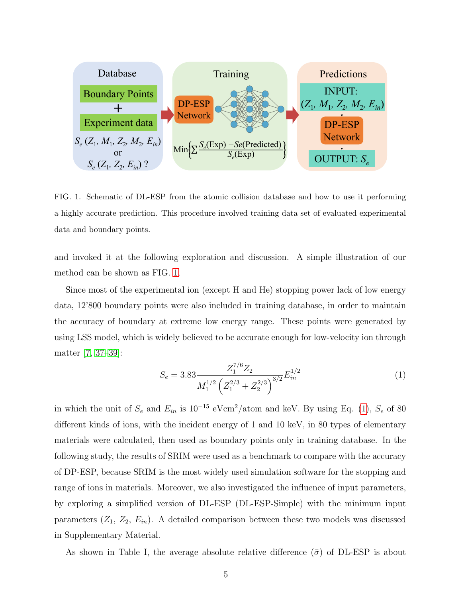

<span id="page-4-0"></span>FIG. 1. Schematic of DL-ESP from the atomic collision database and how to use it performing a highly accurate prediction. This procedure involved training data set of evaluated experimental data and boundary points.

and invoked it at the following exploration and discussion. A simple illustration of our method can be shown as FIG. [1.](#page-4-0)

Since most of the experimental ion (except H and He) stopping power lack of low energy data, 12'800 boundary points were also included in training database, in order to maintain the accuracy of boundary at extreme low energy range. These points were generated by using LSS model, which is widely believed to be accurate enough for low-velocity ion through matter [\[7,](#page-10-4) [37](#page-12-1)[–39\]](#page-12-2):

<span id="page-4-1"></span>
$$
S_e = 3.83 \frac{Z_1^{7/6} Z_2}{M_1^{1/2} \left(Z_1^{2/3} + Z_2^{2/3}\right)^{3/2}} E_{in}^{1/2}
$$
 (1)

in which the unit of  $S_e$  and  $E_{in}$  is 10<sup>-15</sup> eVcm<sup>2</sup>/atom and keV. By using Eq. [\(1\)](#page-4-1),  $S_e$  of 80 different kinds of ions, with the incident energy of 1 and 10 keV, in 80 types of elementary materials were calculated, then used as boundary points only in training database. In the following study, the results of SRIM were used as a benchmark to compare with the accuracy of DP-ESP, because SRIM is the most widely used simulation software for the stopping and range of ions in materials. Moreover, we also investigated the influence of input parameters, by exploring a simplified version of DL-ESP (DL-ESP-Simple) with the minimum input parameters  $(Z_1, Z_2, E_{in})$ . A detailed comparison between these two models was discussed in Supplementary Material.

As shown in Table I, the average absolute relative difference  $(\bar{\sigma})$  of DL-ESP is about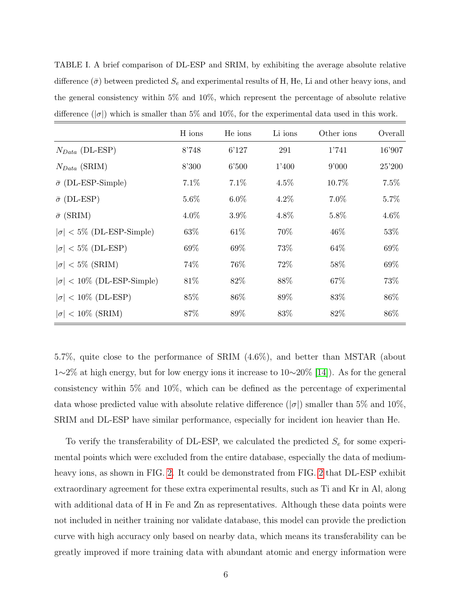<span id="page-5-0"></span>TABLE I. A brief comparison of DL-ESP and SRIM, by exhibiting the average absolute relative difference  $(\bar{\sigma})$  between predicted  $S_e$  and experimental results of H, He, Li and other heavy ions, and the general consistency within 5% and 10%, which represent the percentage of absolute relative difference ( $|\sigma|$ ) which is smaller than 5% and 10%, for the experimental data used in this work.

|                                  | H ions  | He ions | Li ions | Other ions | Overall |
|----------------------------------|---------|---------|---------|------------|---------|
| $N_{Data}$ (DL-ESP)              | 8'748   | 6'127   | 291     | 1'741      | 16'907  |
| $N_{Data}$ (SRIM)                | 8'300   | 6'500   | 1'400   | 9'000      | 25'200  |
| $\bar{\sigma}$ (DL-ESP-Simple)   | 7.1%    | $7.1\%$ | $4.5\%$ | 10.7%      | 7.5%    |
| $\bar{\sigma}$ (DL-ESP)          | $5.6\%$ | $6.0\%$ | $4.2\%$ | $7.0\%$    | $5.7\%$ |
| $\bar{\sigma}$ (SRIM)            | $4.0\%$ | $3.9\%$ | 4.8%    | 5.8%       | $4.6\%$ |
| $ \sigma  < 5\%$ (DL-ESP-Simple) | 63\%    | 61\%    | 70\%    | 46%        | 53\%    |
| $ \sigma  < 5\%$ (DL-ESP)        | 69%     | 69\%    | 73%     | 64\%       | 69\%    |
| $ \sigma  < 5\%$ (SRIM)          | 74\%    | 76%     | 72%     | 58%        | 69\%    |
| $ \sigma $ < 10% (DL-ESP-Simple) | 81\%    | 82\%    | 88%     | 67\%       | 73%     |
| $< 10\%$ (DL-ESP)<br>$ \sigma $  | 85\%    | 86\%    | 89%     | 83\%       | 86\%    |
| $ \sigma  < 10\%$ (SRIM)         | 87\%    | 89%     | 83\%    | 82\%       | 86\%    |

5.7%, quite close to the performance of SRIM (4.6%), and better than MSTAR (about 1∼2% at high energy, but for low energy ions it increase to 10∼20% [\[14\]](#page-10-10)). As for the general consistency within 5% and 10%, which can be defined as the percentage of experimental data whose predicted value with absolute relative difference ( $|\sigma|$ ) smaller than 5% and 10%, SRIM and DL-ESP have similar performance, especially for incident ion heavier than He.

To verify the transferability of DL-ESP, we calculated the predicted  $S_e$  for some experimental points which were excluded from the entire database, especially the data of mediumheavy ions, as shown in FIG. [2.](#page-6-0) It could be demonstrated from FIG. [2](#page-6-0) that DL-ESP exhibit extraordinary agreement for these extra experimental results, such as Ti and Kr in Al, along with additional data of H in Fe and Zn as representatives. Although these data points were not included in neither training nor validate database, this model can provide the prediction curve with high accuracy only based on nearby data, which means its transferability can be greatly improved if more training data with abundant atomic and energy information were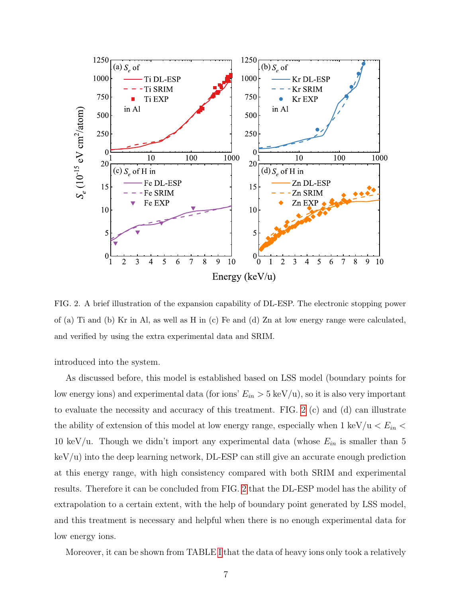

<span id="page-6-0"></span>FIG. 2. A brief illustration of the expansion capability of DL-ESP. The electronic stopping power of (a) Ti and (b) Kr in Al, as well as H in (c) Fe and (d) Zn at low energy range were calculated, and verified by using the extra experimental data and SRIM.

introduced into the system.

As discussed before, this model is established based on LSS model (boundary points for low energy ions) and experimental data (for ions'  $E_{in} > 5 \text{ keV/u}$ ), so it is also very important to evaluate the necessity and accuracy of this treatment. FIG. [2](#page-6-0) (c) and (d) can illustrate the ability of extension of this model at low energy range, especially when  $1 \text{ keV/u} < E_{in}$ 10 keV/u. Though we didn't import any experimental data (whose  $E_{in}$  is smaller than 5 keV/u) into the deep learning network, DL-ESP can still give an accurate enough prediction at this energy range, with high consistency compared with both SRIM and experimental results. Therefore it can be concluded from FIG. [2](#page-6-0) that the DL-ESP model has the ability of extrapolation to a certain extent, with the help of boundary point generated by LSS model, and this treatment is necessary and helpful when there is no enough experimental data for low energy ions.

Moreover, it can be shown from TABLE [I](#page-5-0) that the data of heavy ions only took a relatively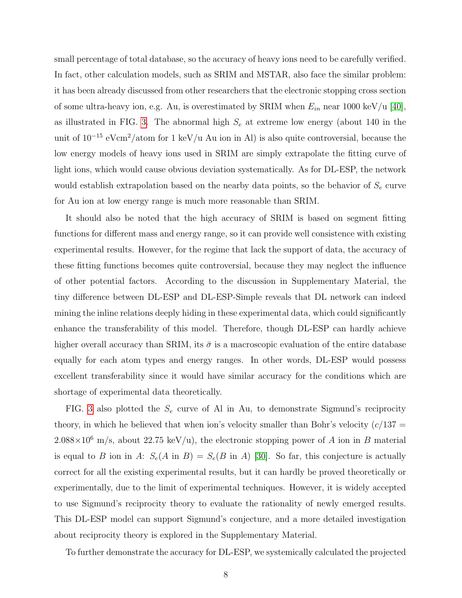small percentage of total database, so the accuracy of heavy ions need to be carefully verified. In fact, other calculation models, such as SRIM and MSTAR, also face the similar problem: it has been already discussed from other researchers that the electronic stopping cross section of some ultra-heavy ion, e.g. Au, is overestimated by SRIM when  $E_{in}$  near 1000 keV/u [\[40\]](#page-12-3), as illustrated in FIG. [3.](#page-8-0) The abnormal high  $S_e$  at extreme low energy (about 140 in the unit of  $10^{-15}$  eVcm<sup>2</sup>/atom for 1 keV/u Au ion in Al) is also quite controversial, because the low energy models of heavy ions used in SRIM are simply extrapolate the fitting curve of light ions, which would cause obvious deviation systematically. As for DL-ESP, the network would establish extrapolation based on the nearby data points, so the behavior of  $S_e$  curve for Au ion at low energy range is much more reasonable than SRIM.

It should also be noted that the high accuracy of SRIM is based on segment fitting functions for different mass and energy range, so it can provide well consistence with existing experimental results. However, for the regime that lack the support of data, the accuracy of these fitting functions becomes quite controversial, because they may neglect the influence of other potential factors. According to the discussion in Supplementary Material, the tiny difference between DL-ESP and DL-ESP-Simple reveals that DL network can indeed mining the inline relations deeply hiding in these experimental data, which could significantly enhance the transferability of this model. Therefore, though DL-ESP can hardly achieve higher overall accuracy than SRIM, its  $\bar{\sigma}$  is a macroscopic evaluation of the entire database equally for each atom types and energy ranges. In other words, DL-ESP would possess excellent transferability since it would have similar accuracy for the conditions which are shortage of experimental data theoretically.

FIG. [3](#page-8-0) also plotted the  $S_e$  curve of Al in Au, to demonstrate Sigmund's reciprocity theory, in which he believed that when ion's velocity smaller than Bohr's velocity  $(c/137 =$  $2.088\times10^6$  m/s, about 22.75 keV/u), the electronic stopping power of A ion in B material is equal to B ion in A:  $S_e(A \text{ in } B) = S_e(B \text{ in } A)$  [\[30\]](#page-11-8). So far, this conjecture is actually correct for all the existing experimental results, but it can hardly be proved theoretically or experimentally, due to the limit of experimental techniques. However, it is widely accepted to use Sigmund's reciprocity theory to evaluate the rationality of newly emerged results. This DL-ESP model can support Sigmund's conjecture, and a more detailed investigation about reciprocity theory is explored in the Supplementary Material.

To further demonstrate the accuracy for DL-ESP, we systemically calculated the projected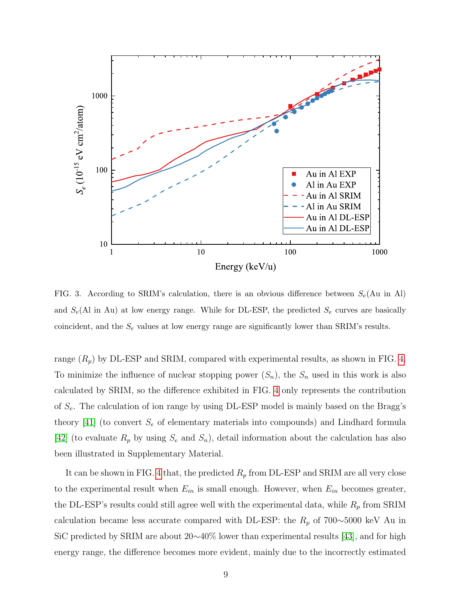

<span id="page-8-0"></span>FIG. 3. According to SRIM's calculation, there is an obvious difference between  $S_e(\text{Au in Al})$ and  $S_e$ (Al in Au) at low energy range. While for DL-ESP, the predicted  $S_e$  curves are basically coincident, and the  $S_e$  values at low energy range are significantly lower than SRIM's results.

range  $(R_p)$  by DL-ESP and SRIM, compared with experimental results, as shown in FIG. [4.](#page-9-0) To minimize the influence of nuclear stopping power  $(S_n)$ , the  $S_n$  used in this work is also calculated by SRIM, so the difference exhibited in FIG. [4](#page-9-0) only represents the contribution of  $S_e$ . The calculation of ion range by using DL-ESP model is mainly based on the Bragg's theory [\[41\]](#page-12-4) (to convert  $S_e$  of elementary materials into compounds) and Lindhard formula [\[42\]](#page-12-5) (to evaluate  $R_p$  by using  $S_e$  and  $S_n$ ), detail information about the calculation has also been illustrated in Supplementary Material.

It can be shown in FIG. [4](#page-9-0) that, the predicted  $R_p$  from DL-ESP and SRIM are all very close to the experimental result when  $E_{in}$  is small enough. However, when  $E_{in}$  becomes greater, the DL-ESP's results could still agree well with the experimental data, while  $R_p$  from SRIM calculation became less accurate compared with DL-ESP: the  $R_p$  of 700∼5000 keV Au in SiC predicted by SRIM are about 20∼40% lower than experimental results [\[43\]](#page-12-6), and for high energy range, the difference becomes more evident, mainly due to the incorrectly estimated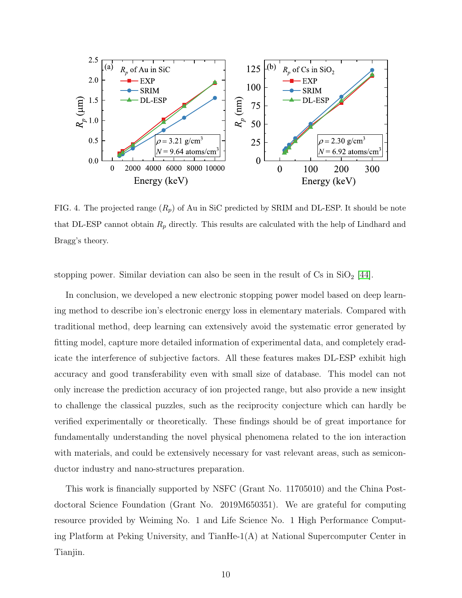

<span id="page-9-0"></span>FIG. 4. The projected range  $(R_p)$  of Au in SiC predicted by SRIM and DL-ESP. It should be note that DL-ESP cannot obtain  $R_p$  directly. This results are calculated with the help of Lindhard and Bragg's theory.

stopping power. Similar deviation can also be seen in the result of  $Cs$  in  $SiO<sub>2</sub>$  [\[44\]](#page-12-7).

In conclusion, we developed a new electronic stopping power model based on deep learning method to describe ion's electronic energy loss in elementary materials. Compared with traditional method, deep learning can extensively avoid the systematic error generated by fitting model, capture more detailed information of experimental data, and completely eradicate the interference of subjective factors. All these features makes DL-ESP exhibit high accuracy and good transferability even with small size of database. This model can not only increase the prediction accuracy of ion projected range, but also provide a new insight to challenge the classical puzzles, such as the reciprocity conjecture which can hardly be verified experimentally or theoretically. These findings should be of great importance for fundamentally understanding the novel physical phenomena related to the ion interaction with materials, and could be extensively necessary for vast relevant areas, such as semiconductor industry and nano-structures preparation.

This work is financially supported by NSFC (Grant No. 11705010) and the China Postdoctoral Science Foundation (Grant No. 2019M650351). We are grateful for computing resource provided by Weiming No. 1 and Life Science No. 1 High Performance Computing Platform at Peking University, and TianHe-1(A) at National Supercomputer Center in Tianjin.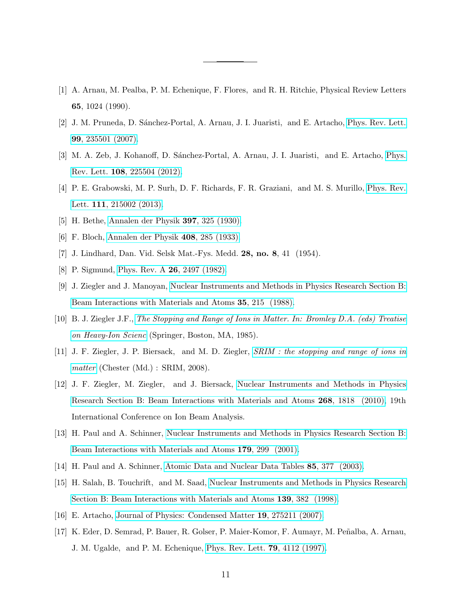- <span id="page-10-0"></span>[1] A. Arnau, M. Pealba, P. M. Echenique, F. Flores, and R. H. Ritchie, Physical Review Letters 65, 1024 (1990).
- <span id="page-10-11"></span>[2] J. M. Pruneda, D. Sánchez-Portal, A. Arnau, J. I. Juaristi, and E. Artacho, [Phys. Rev. Lett.](http://dx.doi.org/10.1103/PhysRevLett.99.235501) 99[, 235501 \(2007\).](http://dx.doi.org/10.1103/PhysRevLett.99.235501)
- [3] M. A. Zeb, J. Kohanoff, D. Sánchez-Portal, A. Arnau, J. I. Juaristi, and E. Artacho, [Phys.](http://dx.doi.org/ 10.1103/PhysRevLett.108.225504) Rev. Lett. 108[, 225504 \(2012\).](http://dx.doi.org/ 10.1103/PhysRevLett.108.225504)
- <span id="page-10-1"></span>[4] P. E. Grabowski, M. P. Surh, D. F. Richards, F. R. Graziani, and M. S. Murillo, [Phys. Rev.](http://dx.doi.org/ 10.1103/PhysRevLett.111.215002) Lett. **111**[, 215002 \(2013\).](http://dx.doi.org/ 10.1103/PhysRevLett.111.215002)
- <span id="page-10-3"></span><span id="page-10-2"></span>[5] H. Bethe, [Annalen der Physik](http://dx.doi.org/10.1002/andp.19303970303) 397, 325 (1930).
- <span id="page-10-4"></span>[6] F. Bloch, [Annalen der Physik](http://dx.doi.org/10.1002/andp.19334080303) 408, 285 (1933).
- <span id="page-10-5"></span>[7] J. Lindhard, Dan. Vid. Selsk Mat.-Fys. Medd. 28, no. 8, 41 (1954).
- <span id="page-10-6"></span>[8] P. Sigmund, [Phys. Rev. A](http://dx.doi.org/10.1103/PhysRevA.26.2497) 26, 2497 (1982).
- [9] J. Ziegler and J. Manoyan, [Nuclear Instruments and Methods in Physics Research Section B:](http://dx.doi.org/https://doi.org/10.1016/0168-583X(88)90273-X) [Beam Interactions with Materials and Atoms](http://dx.doi.org/https://doi.org/10.1016/0168-583X(88)90273-X) 35, 215 (1988).
- <span id="page-10-7"></span>[10] B. J. Ziegler J.F., [The Stopping and Range of Ions in Matter. In: Bromley D.A. \(eds\) Treatise](http://dx.doi.org/ https://doi.org/10.1007/978-1-4615-8103-1_3) [on Heavy-Ion Scienc](http://dx.doi.org/ https://doi.org/10.1007/978-1-4615-8103-1_3) (Springer, Boston, MA, 1985).
- [11] J. F. Ziegler, J. P. Biersack, and M. D. Ziegler, [SRIM : the stopping and range of ions in](http://lib.ugent.be/catalog/rug01:001467757) [matter](http://lib.ugent.be/catalog/rug01:001467757) (Chester (Md.) : SRIM, 2008).
- <span id="page-10-8"></span>[12] J. F. Ziegler, M. Ziegler, and J. Biersack, [Nuclear Instruments and Methods in Physics](http://dx.doi.org/https://doi.org/10.1016/j.nimb.2010.02.091) [Research Section B: Beam Interactions with Materials and Atoms](http://dx.doi.org/https://doi.org/10.1016/j.nimb.2010.02.091) 268, 1818 (2010), 19th International Conference on Ion Beam Analysis.
- <span id="page-10-9"></span>[13] H. Paul and A. Schinner, [Nuclear Instruments and Methods in Physics Research Section B:](http://dx.doi.org/https://doi.org/10.1016/S0168-583X(01)00576-6) [Beam Interactions with Materials and Atoms](http://dx.doi.org/https://doi.org/10.1016/S0168-583X(01)00576-6) 179, 299 (2001).
- <span id="page-10-12"></span><span id="page-10-10"></span>[14] H. Paul and A. Schinner, [Atomic Data and Nuclear Data Tables](http://dx.doi.org/https://doi.org/10.1016/j.adt.2003.08.003) 85, 377 (2003).
- [15] H. Salah, B. Touchrift, and M. Saad, [Nuclear Instruments and Methods in Physics Research](http://dx.doi.org/https://doi.org/10.1016/S0168-583X(98)00031-7) [Section B: Beam Interactions with Materials and Atoms](http://dx.doi.org/https://doi.org/10.1016/S0168-583X(98)00031-7) 139, 382 (1998).
- <span id="page-10-13"></span>[16] E. Artacho, [Journal of Physics: Condensed Matter](http://dx.doi.org/10.1088/0953-8984/19/27/275211) 19, 275211 (2007).
- [17] K. Eder, D. Semrad, P. Bauer, R. Golser, P. Maier-Komor, F. Aumayr, M. Pe˜nalba, A. Arnau, J. M. Ugalde, and P. M. Echenique, [Phys. Rev. Lett.](http://dx.doi.org/10.1103/PhysRevLett.79.4112) 79, 4112 (1997).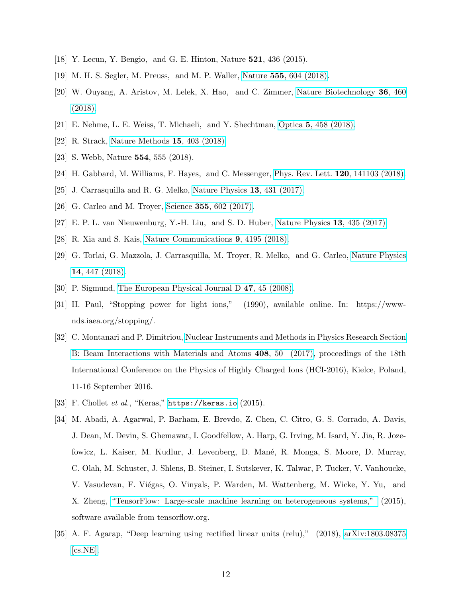- <span id="page-11-1"></span><span id="page-11-0"></span>[18] Y. Lecun, Y. Bengio, and G. E. Hinton, Nature 521, 436 (2015).
- <span id="page-11-2"></span>[19] M. H. S. Segler, M. Preuss, and M. P. Waller, Nature 555[, 604 \(2018\).](http://dx.doi.org/10.1038/nature25978)
- [20] W. Ouyang, A. Aristov, M. Lelek, X. Hao, and C. Zimmer, [Nature Biotechnology](http://dx.doi.org/ 10.1038/nbt.4106) 36, 460 [\(2018\).](http://dx.doi.org/ 10.1038/nbt.4106)
- <span id="page-11-3"></span>[21] E. Nehme, L. E. Weiss, T. Michaeli, and Y. Shechtman, Optica 5[, 458 \(2018\).](http://dx.doi.org/10.1364/OPTICA.5.000458)
- <span id="page-11-4"></span>[22] R. Strack, [Nature Methods](http://dx.doi.org/10.1038/s41592-018-0028-9) 15, 403 (2018).
- <span id="page-11-5"></span>[23] S. Webb, Nature **554**, 555 (2018).
- <span id="page-11-6"></span>[24] H. Gabbard, M. Williams, F. Hayes, and C. Messenger, [Phys. Rev. Lett.](http://dx.doi.org/ 10.1103/PhysRevLett.120.141103) 120, 141103 (2018).
- [25] J. Carrasquilla and R. G. Melko, [Nature Physics](http://dx.doi.org/10.1038/nphys4035) 13, 431 (2017).
- [26] G. Carleo and M. Troyer, Science **355**[, 602 \(2017\).](http://dx.doi.org/10.1126/science.aag2302)
- [27] E. P. L. van Nieuwenburg, Y.-H. Liu, and S. D. Huber, [Nature Physics](http://dx.doi.org/10.1038/nphys4037) 13, 435 (2017).
- <span id="page-11-7"></span>[28] R. Xia and S. Kais, [Nature Communications](http://dx.doi.org/10.1038/s41467-018-06598-z) 9, 4195 (2018).
- [29] G. Torlai, G. Mazzola, J. Carrasquilla, M. Troyer, R. Melko, and G. Carleo, [Nature Physics](http://dx.doi.org/ 10.1038/s41567-018-0048-5) 14[, 447 \(2018\).](http://dx.doi.org/ 10.1038/s41567-018-0048-5)
- <span id="page-11-9"></span><span id="page-11-8"></span>[30] P. Sigmund, [The European Physical Journal D](http://dx.doi.org/10.1140/epjd/e2008-00011-9) 47, 45 (2008).
- [31] H. Paul, "Stopping power for light ions," (1990), available online. In: https://wwwnds.iaea.org/stopping/.
- <span id="page-11-10"></span>[32] C. Montanari and P. Dimitriou, [Nuclear Instruments and Methods in Physics Research Section](http://dx.doi.org/https://doi.org/10.1016/j.nimb.2017.03.138) [B: Beam Interactions with Materials and Atoms](http://dx.doi.org/https://doi.org/10.1016/j.nimb.2017.03.138) 408, 50 (2017), proceedings of the 18th International Conference on the Physics of Highly Charged Ions (HCI-2016), Kielce, Poland, 11-16 September 2016.
- <span id="page-11-12"></span><span id="page-11-11"></span>[33] F. Chollet *et al.*, "Keras," <https://keras.io> (2015).
- [34] M. Abadi, A. Agarwal, P. Barham, E. Brevdo, Z. Chen, C. Citro, G. S. Corrado, A. Davis, J. Dean, M. Devin, S. Ghemawat, I. Goodfellow, A. Harp, G. Irving, M. Isard, Y. Jia, R. Jozefowicz, L. Kaiser, M. Kudlur, J. Levenberg, D. Mané, R. Monga, S. Moore, D. Murray, C. Olah, M. Schuster, J. Shlens, B. Steiner, I. Sutskever, K. Talwar, P. Tucker, V. Vanhoucke, V. Vasudevan, F. Viégas, O. Vinyals, P. Warden, M. Wattenberg, M. Wicke, Y. Yu, and X. Zheng, ["TensorFlow: Large-scale machine learning on heterogeneous systems,"](http://tensorflow.org/) (2015), software available from tensorflow.org.
- <span id="page-11-13"></span>[35] A. F. Agarap, "Deep learning using rectified linear units (relu)," (2018), [arXiv:1803.08375](http://arxiv.org/abs/1803.08375)  $[cs.NE]$ .